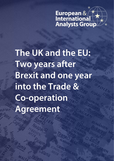# European & **K**<br>International

**The UK and the EU: Two years after Brexit and one year into the Trade & Co-operation Agreement**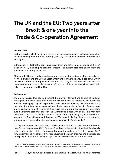### **The UK and the EU: Two years after Brexit & one year into the Trade & Co-operation Agreement**

#### **Introduction**

On Christmas Eve 2020, the UK and the EU reached agreement on a trade and cooperation treaty governing their future relationship (the TCA). This agreement came into force on 1 January 202[1](#page-2-0). $<sup>1</sup>$ </sup>

In this paper, we look at the consequences of Brexit and at the implementation of the TCA in its first year, including its economic impact, and current problems arising from the agreement and its implementation.

Although the Northern Ireland protocol, which governs the trading relationship between Northern Ireland and the EU and Great Britain and Northern Ireland, is laid down within the UK-EU Withdrawal Agreement and not the TCA, we nonetheless consider the negotiations around the implementation of the protocol since there is an interrelationship between the protocol and the TCA.

#### **Background**

**.** 

The UK-EU TCA is a free trade agreement that provides for tariff and quota free trade for most goods between Great Britain and the EU (see below as regards Northern Ireland). Rules of origin apply to goods exported from GB to the EU, meaning that (in simple terms) the bulk of any item being exported must have been made in the UK. Services were largely excluded from the agreement because the UK prioritised regulatory autonomy over maintaining economic ties with the EU; this issue is dealt with below. It is important to note that there is a distinction between effects of Brexit generally (*e.g.* that the UK is no longer in the Single Market) and those of the TCA in particular (*e.g.* the alternative trading arrangements replacing the UK's former participation in the Single Market).

Leaving the customs union with the EU means the return of full customs controls on GB-EU trade for the first time since 1992. Because of the short implementation time, the UK unilaterally delayed introduction of full customs controls on most imports from EU until 1 January 2022. New sanitary and phyto-sanitary (SPS) rules governing the import of animal and plant products came partly in force from 1 January 2022; the remainder come into force on 1 July 2022.

<span id="page-2-0"></span><sup>&</sup>lt;sup>1</sup> The text of the finalised Treaty, following a legal text revision process by both parties, came into force on 1 May 2021 replacing the Christmas Eve edition: see HM Government[, 'UK/EU and EAEC: Trade and Cooperation Agreement',](https://www.gov.uk/government/publications/ukeu-and-eaec-trade-and-cooperation-agreement-ts-no82021) 30 April 2021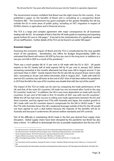The Government remains confident that Brexit was the right choice for the country. It has published a paper on the benefits of Brexit and is consulting on a prospective Brexit Freedoms Bill.<sup>[2](#page-3-0)</sup> The Government has given examples of the greater flexibility the UK has outside the EU in some areas of public policy, including on VAT, migration in respect of EU/EEA citizens, in agriculture and in financial services.

The TCA is a large and complex agreement with major consequences for all businesses trading with the EU. An example of that is that the UK trade guide to importing and exporting goods to/from EU runs to 160 pages.<sup>[3](#page-3-1)</sup> It has led to the reintroduction of a significant number of non-tariff barriers. Further details of the TCA can be found in an earlier SEE paper[.4](#page-3-2)

#### **Economic impact**

Assessing the economic impact of Brexit and the TCA is complicated by the near parallel event of the pandemic. Nonetheless, the Office for Budget Responsibility (OBR) has estimated that Brexit will reduce UK GDP by four per cent in the long term, in addition to a two per cent fall in GDP as a result of the pandemic.<sup>[5](#page-3-3)</sup>

There was a much greater fall of 15 per cent in UK trade with the EU in 2021. UK goods exports to the EU (nearly half of total exports) fell by 45 per cent in January 2021 before recovering somewhat in the months afterwards but they were still in August around 15 per cent lower than in 2020.<sup>[6](#page-3-4)</sup> Goods imports from the EU also fell, by around 30 per cent in early 2021, recovering to 20 per cent below December 2020 in August 2021. Trade with both EU and non-EU countries was still lower at the end of 2021 than it had been before the pandemic in 2019 but the fall in the case of EU countries was double that with the rest of the world.<sup>[7](#page-3-5)</sup>

The impact of the TCA on trade can be seen by comparing the trade performance of the UK and that of the main EU countries: UK trade has not recovered after Covid in the way EU countries' trade has.<sup>[8](#page-3-6)</sup> In addition, the UK is now more dependent on trade with non-EU countries; 52 per cent of UK trade in first 10 months of 2021 was with non-EU countries.<sup>[9](#page-3-7)</sup> While the UK has had some success in rolling over trade agreements between the EU and third countries, and has signed new FTAs with Australia and Japan, the modest growth in UK's trade with non-EU countries doesn't compensate for the fall in UK/EU trade.<sup>10</sup> And the FTA with Australia shows the UK's weakened leverage outside of the EU; the UK would not have agreed to such a deal before because the majority of the benefits will be to Australia and because it undermines UK animal welfare standards and SPS controls.

Part of the difficulty in maintaining UK-EU trade in the first year derived from supply chain disruption. Global supply chains have been disrupted by the pandemic but Brexit has also been a factor. It is difficult to disentangle the two as possible explanations but the loss of EU

 $\overline{a}$ 

<span id="page-3-0"></span><sup>2</sup> See HM Government, *[The benefits of Brexit: how the UK is taking advantage of leaving the EU](https://www.gov.uk/government/publications/the-benefits-of-brexit)*, 31 January 2022

<sup>3</sup> See HM Government, *[The Border with the European Union: Importing and Exporting Goods](https://www.gov.uk/government/publications/the-border-operating-model)*, 16 December 2021

<span id="page-3-2"></span><span id="page-3-1"></span><sup>4</sup> Senior European Experts, *[The UK-EU Trade and Co-operation Agreement 2020](https://www.eiag.org.uk/paper/uk-eu-trade-co-operation-agreement-2020/)*, 18 January 2021

<span id="page-3-3"></span><sup>5</sup> ['Impact of Brexit on economy "worse than Covid"',](https://www.bbc.co.uk/news/business-59070020) *BBC News*, 27 October 2021

<span id="page-3-4"></span><sup>6</sup> Office for Budget Responsibility[, 'The initial impact of Brexit on UK trade with the EU',](https://obr.uk/box/the-initial-impact-of-brexit-on-uk-trade-with-the-eu/) 27 October 2021

<span id="page-3-6"></span><span id="page-3-5"></span><sup>7</sup> *Ibid.*

<sup>8</sup> Se[e 'How Brexit and the pandemic changed UK trade in 4 charts',](https://www.politico.eu/article/how-brexit-and-the-pandemic-changed-uk-trade/) Sebastian Whale & George Arnett, Politico.eu, 10 January 2022 9 *Ibid.*

<span id="page-3-8"></span><span id="page-3-7"></span><sup>&</sup>lt;sup>10</sup> See map showing the UK's trade relations around the world prepared by Trade Economics[, 'UK Trade Agreements After Brexit',](https://www.tradeeconomics.com/uk-trade-agreements-after-brexit/) 26 October 2021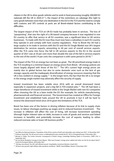citizens in the UK to drive goods vehicles and to work in food processing (roughly 200,000 EU nationals left the UK in 2020-21<sup>11</sup>), the impact of the restrictions on cabotage (the right to carry goods between more than one destination in the EU) in the TCA and the need to comply with customs and SPS controls at ports are all Brexit-related factors contributing to the difficulties.

The largest impact of the TCA on UK-EU trade has probably been in services. The loss of "passporting", that was the right of a UK-based company because it was regulated in one EU country to offer that service in all EU countries, was a significant blow to UK service businesses. To trade with the EU now they must now have a subsidiary in each EU country they operate in and comply with host country regulations. Prior to Brexit the UK had a large surplus in its trade in services with the EU and the EU Single Market was UK's largest destination for services exports, amounting to 40 per cent of overall services exports. After the TCA came into force, the fall in UK services exports to the EU in the second quarter of 2021 was at 30 per cent more than double the size of the fall in services exports to the rest of the world (14 per cent; the comparison is with same period in 2019).<sup>[12](#page-4-1)</sup>

The impact of the TCA on energy has not been as great. The UK prioritised energy trade in the TCA resulting in a minimal impact on energy prices from Brexit. UK energy policies are (now) largely aligned with those of the EU.<sup>13</sup> The UK's current high energy prices are mainly due to global factors but also to some domestic ones such as the lack of gas storage capacity and the inadequate diversification of energy resources meaning that the UK is less resilient in energy supply.<sup>[14](#page-4-3)</sup> In the longer-term, the fact that the UK is no longer in the energy single market may adversely affect the security of supply.

Inward investment has been volatile since 2016 with an overall downward trend, especially in expansion projects, and a big fall in FDI-created jobs.[15](#page-4-4) The UK had been a major benefactor of inward investment while in the Single Market with non-EU companies often choosing the UK as a base inside the EU (for example, for vehicle manufacturing, pharmaceuticals and financial services). The Government has created an Office for Foreign Investment and established hubs around the UK to promote it but it will be hard to reverse the downward trend since 2016 given the limitations of the TCA.

Brexit has been one of the factors in driving inflation because of its link to supply chain issues, to labour shortages pushing up wages and to reduced business investment. The increase in inflation will affect the cost of living, will increase Government spending (through higher interest rates on debt, increase in costs of goods and services and linked increases in benefits) and potentially increase the cost of exports, leading to either reduced overseas sales or lower UK business profits.[16](#page-4-5)

**.** 

<span id="page-4-0"></span><sup>&</sup>lt;sup>11</sup> See Office for National Statistics[, 'Population of the UK by country of birth and nationality: year ending June 2021',](https://www.ons.gov.uk/peoplepopulationandcommunity/populationandmigration/internationalmigration/bulletins/ukpopulationbycountryofbirthandnationality/yearendingjune2021) 25 November 2021

<span id="page-4-1"></span><sup>&</sup>lt;sup>12</sup> Professor Sarah Hall, ['The UK services sector: a challenging first year outside the EU',](https://ukandeu.ac.uk/the-uk-services-sector-have-had-a-challenging-first-year-outside-the-eu/) UK in a Changing Europe, 9 December 2021

<span id="page-4-2"></span><sup>13</sup> Michael G. Pollitt, *[The Further Economic Consequences of Brexit: Energy](https://www.econ.cam.ac.uk/research/cwpe-abstracts?cwpe=2161)*, Cambridge Working Papers in Economics, CWPE 2161, 6 September 2021

<span id="page-4-3"></span><sup>&</sup>lt;sup>14</sup> See Ian Bond, Elisabetta Cornago & Zach Meyers, ['Why have Europe's energy prices spiked and what can the EU do about them?',](https://www.cer.eu/insights/why-have-europes-energy-prices-spiked) Centre for European Reform, 28 October 2021

<span id="page-4-4"></span><sup>15</sup> ['100 days since Brexit: The UK's self-inflicted wound',](https://www.investmentmonitor.ai/analysis/uk-self-inflicted-wound) Greg Barklie, *Investment Monitor*, 6 April 2021

<span id="page-4-5"></span><sup>16</sup> ['UK faces slow growth, high inflation after pandemic and Brexit - NIESR',](https://www.reuters.com/world/uk/uks-niesr-warns-stagnation-risk-supply-chain-problems-2021-11-09/) David Milliken, *Reuters*, 9 November 2021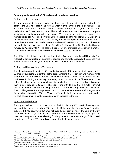#### **Current problems with the TCA and trade in goods and services**

#### Customs controls on goods

It is now more difficult, more costly and slower for UK companies to trade with the EU because the UK is no longer in the customs union with the EU or in the Single Market.<sup>[17](#page-5-0)</sup> This is because although the burden of tariffs was avoided through the TCA, non-tariff barriers to trade with the EU are now in place. These include customs documentation on exports including declarations on rules of origin, VAT now being levied on exports, the reintroduction of SPS controls on fish and food exports and the need for some UK exporters to comply with more than one set of sectoral, product or employment regulations.<sup>[18](#page-5-1)</sup> As a result the number of customs declarations made on GB to EU exports, and UK to the rest of the world, has increased sharply; it was 44 million for the whole of 2020 but 48 million for January to August 2021.<sup>[19](#page-5-2)</sup> The cost to business of this increased bureaucracy is another factor adding to inflation as businesses pass on these costs to customers.

The UK has twice delayed the introduction of full UK customs controls on EU imports. This reflects the difficulties for UK business of adjusting to controls, especially those concerning animal products and delays in bringing new infrastructure and staff online.

#### Sanitary and Phytosanitary (SPS) controls

The UK decision not to retain EU SPS standards means that UK food and drink exports to the EU are now subject to SPS controls at the border, making it more difficult and more costly to export from GB to the EU. Exporters have published many examples of the impact on their businesses, including the 60 steps necessary to export plants from GB compared to 27 before Brexit and some exports no longer being viable as the cost of compliance is greater than value of product - a £2 packet of seeds costing  $£100$  to export for example.<sup>20</sup> Overall, most food and drink exporters must go through 20 steps now compared to just two before Brexit.<sup>[21](#page-5-4)</sup> The greatest impact appears to be on products with the lowest profit margins. One fish merchant showed the BBC the 76 pages of forms, including approval from a vet, needed for each consignment of cuttlefish and monkfish exported to the EU.<sup>[22](#page-5-5)</sup>

#### Agriculture and fisheries

 $\overline{a}$ 

The largest decline in commodity exports to the EU in January 2021 was in the category of food and live animal exports at 73 per cent. Data from the Food & Drink Federation suggested it had recovered but was still over 45 per cent down at the end of the first quarter.[23](#page-5-6) By contrast, exports of food and drink to non-EU countries rose by 0.3 per cent over the same period so even allowing for the pandemic, there was a major fall in overall exports to the EU and SPS controls were probably the biggest reason.

<span id="page-5-0"></span><sup>17</sup> See House of Lords European Affairs Committee, *[4th Report of Session 2021–22: One year on—Trade in goods between Great Britain and](https://publications.parliament.uk/pa/ld5802/ldselect/ldeuaff/124/12402.htm)  [the European Union](https://publications.parliament.uk/pa/ld5802/ldselect/ldeuaff/124/12402.htm)*, HL Paper 124, 16 December 2021

<span id="page-5-1"></span> $18$  The double regulation problem particularly affects companies in the chemicals and/or medical products sectors.

<span id="page-5-2"></span><sup>19</sup> National Audit Office, *[The UK border: Post UK–EU transition period](https://www.nao.org.uk/report/the-uk-border-post-uk-eu-transition-period/)*, HC 736, 5 November 2021, p. 10

<span id="page-5-3"></span><sup>20</sup> House of Lords European Affairs Committee, *op. cit.*, pp. 21-22, paras 71 and 74

<span id="page-5-4"></span><sup>21</sup> National Audit Office, *op. cit.*, p. 51, para 2.14

<span id="page-5-5"></span><sup>22</sup> *['Brexit: One year on, the economic impact is starting to show'](https://www.bbc.co.uk/news/business-59761292)*, Faisal Islam, *BBC News*, 24 December 2021

<span id="page-5-6"></span><sup>23</sup> All figures in this paragraph quoted in National Audit Office, *op. cit.*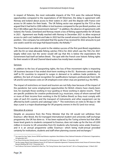In respect of fisheries, the most noticeable impacts of the TCA were the reduced fishing opportunities compared to the expectations of UK fishermen, the delay in agreement with Norway and Iceland about access to their waters in 2021 and the dispute with France over access to UK waters for their boats. The UK fishing sector was angered by the TCA as they argued that it had led to £300 million in lost business compared to the pre-Brexit position, not the £148 million gain the Government claimed.<sup>24</sup> In addition, the absence of agreements with Iceland, the Faroes, Greenland and Norway meant a loss of fishing opportunities for UK boats in 2021. Agreement was finally reached with Norway in December 2021 to allow reciprocal access to catch cod, haddock and hake in 2022 but the overall amount is below the pre-Brexit position. One company has estimated that the quota it has received for 2022 amounts to just one week's work for one large Hull-based trawler, the Kirkella[.25](#page-6-1) 

The Government was able to point to the relative success of the first post-Brexit negotiations with the EU on total allowable fishing catches (TACs) for 2022 which saw the TACs for 2021 largely rolled over; but the sector would still say that this is below the expectations the Government had itself set before Brexit. The spat with the French over historic fishing rights for their vessels in UK and Channel Island waters has mostly been resolved.

#### Services

In addition to the loss of passporting rights, the loss of free movement rights is impacting UK business because it has ended short-term working in the EU. Businesses cannot deploy staff to EU countries to respond to surges in demand or to address trade problems. In addition, the lack of mutual recognition for qualifications hampers professionals from both UK and EU and imposes costs on UK employers even when visas are granted (*e.g.* the NHS).

The impact of restrictions on travel and tourism are not fully clear because of the impact of the pandemic but some employment opportunities for British citizens have clearly been lost, for example those working in tour guiding or those working in alpine resorts. There are specific problems for creative professionals (*e.g.* musicians, many of whom earned half or more of their income from working in the EU before Brexit) as they must comply with rules of each EU country and the transport of instruments and other equipment can be affected by both customs and cabotage rules.<sup>[26](#page-6-2)</sup> The restrictions on visits to 90 days in 180 days a year is a major disadvantage for UK property owners in the EU (and vice versa).

#### Education & science

Despite an assurance from the Prime Minister that the UK would not withdraw from Erasmus+ after Brexit, the EU-managed international student and university staff exchange programme, the UK has done so. It has been replaced by the Turing scheme but that offers lower-level grants to students compared to Erasmus, does not make up for the loss of £200 million in income to UK universities from EU students who formerly came under Erasmus+ and it is an annual programme unlike Erasmus+ which being multi-annual provided certainty for institutions, students and staff when planning courses and exchanges.[27](#page-6-3)

 $\overline{a}$ 

<span id="page-6-0"></span><sup>24</sup> See report by Gary Taylor, former DEFRA lead fisheries negotiator: *[Brexit Balance Sheet](https://www.nffo.org.uk/nffo-demands-transparency-over-tca-deal/)*, National Federation of Fishermen's Organisations, 30 September 2021

<span id="page-6-1"></span><sup>25</sup> See *['Brexit fishing deal: Kirkella owners "devastated" by UK-Norway pact'](https://www.bbc.co.uk/news/uk-england-humber-59748581)*, *BBC News*, 21 December 2021

<span id="page-6-2"></span><sup>&</sup>lt;sup>26</sup> See Ilze Jozepa, Niamh Foley & Melanie Gower, *EU-UK Trade and Cooperation Agreement: Temporary business travel*, House of Commons Library Research Briefing CBP 9130, 17 November 2021

<span id="page-6-3"></span><sup>&</sup>lt;sup>27</sup> See Professor Paul James Cardwell & Dr Max Fras[, 'The Turing Scheme: does it pass the test?',](https://ukandeu.ac.uk/the-turing-scheme-does-it-pass-the-test/) UK in a Changing Europe, 12 March 2021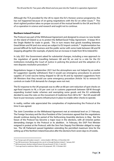Although the TCA provided for the UK to rejoin the EU's Horizon science programme, this has not happened because of on-going negotiations with the EU on other issues.<sup>28</sup> This short-sighted position takes no proper account of the mutual benefit to the UK and the EU of co-operation in science and research and ought not to continue.

#### **Northern Ireland Protocol**

The Protocol was part of the Withdrawal Agreement and designed to ensure no new border on the island of Ireland so as to protect the Belfast/Good Friday Agreement. It keeps NI in the Single Market for trade in goods. This in turn means that goods travelling between Great Britain and NI (and vice versa) are subject to EU import controls.<sup>[29](#page-7-1)</sup> Implementation has proved difficult for both business and the public sector with some trade between GB and NI stopping altogether (for example, of plants) but an increase in trade from NI to Ireland/EU.

In July 2021 the Government asked for substantial changes, including a new approach to the regulation of goods travelling between GB and NI, an end to a role for the EU institutions including the Court of Justice in policing the protocol and the adoption of a new disputes resolution procedure.[30](#page-7-2) 

Negotiations began in September 2021 but the atmosphere was not helped by an earlier EU suggestion (quickly withdrawn) that it would use emergency procedures to prevent supplies of Covid vaccine being shipped to GB via NI and by repeated suggestions from UK Ministers that they would use same emergency procedure (Article 16) to remove EU controls on trade if UK demands for changes were not met.

The EU response to the UK proposals was to offer an 80 per cent reduction of spot checks on agri-food imports to NI, a 50 per cent cut in customs paperwork between GB-NI through expanding trusted trader schemes and exempting some goods and the EU unilaterally decided to ease the rules on the movement of medicines from GB to NI.[31](#page-7-3) But UK would still have to put necessary customs infrastructure in place to enable other checks to operate.

In reality, neither side appreciated the complexities of implementing the Protocol at the time it was agreed.

The Joint Committee on the Withdrawal Agreement met at ministerial level on 21 February. The Foreign Secretary and the Vice-President of the Commission agreed that the negotiations should continue during the period of the forthcoming Assembly elections in May. But the future of the Protocol has become a major issue in the elections, with all Unionist parties demanding changes to the Protocol or its abolition. In February, the DUP First Minister resigned in protest at the Protocol, with the Sinn Fein Deputy First Minister obliged to resign too. The UK Parliament passed legislation extending the permitted maximum time for the setting up of the Northern Ireland Executive after the elections from seven days to 24 weeks.

**.** 

<span id="page-7-0"></span><sup>28</sup> Se[e 'Europe spat will weaken research – science leaders',](https://www.bbc.co.uk/news/science-environment-59729638) *BBC News*, 22 December 202

<span id="page-7-1"></span><sup>29</sup> See HM Government[, 'Moving goods into, out of, or through Northern Ireland',](https://www.gov.uk/government/collections/moving-goods-into-out-of-or-through-northern-ireland) 7 January 2021

<span id="page-7-2"></span><sup>30</sup> HM Government, *[Northern Ireland Protocol: the way forward](https://www.gov.uk/government/publications/northern-ireland-protocol-next-steps)*, CP 502, 21 July 2021

<span id="page-7-3"></span><sup>31</sup> ['From agri-food to medicines: What's new in EU proposals',](https://www.rte.ie/news/brexit/2021/1013/1253549-eu-protocol-proposals/) *RTE*, 13 October 2021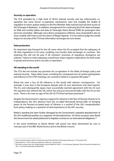#### **Security co-operation**

The TCA provided for a high level of UK-EU internal security and law enforcement cooperation but some former co-operation mechanisms were lost (notably the Dublin III regulation to return asylum seekers to the first Member State reached and real time access to the Schengen II database). In addition, arrangements for continuing the Prüm data exchanges on DNA and number plates and data on Passenger Name Record (PNR) air passengers have yet to be concluded. Although, not a direct consequence of Brexit, a loss of goodwill is also an issue, notably with France over the return of illegal migrants. It is too early to judge the overall impact on security of the TCA but information exchanges are now slower.

#### **Data protection**

An important step forward for the UK came when the EU accepted that the adequacy of UK data regulations to EU ones, enabling cross border data exchanges to continue. But retaining this will not be easy if UK ministers' promises of regulatory divergence are realised. Failure to retain adequacy would have major negative implications for both trade in goods and services and in security co-operation.

#### **UK standing in the world**

The TCA did not include any provision for co-operation in the fields of foreign policy and external security. These latter issues, including the consequent loss of routine participation and influence in EU CFSP meetings, are covered in detail in a separate SEE paper.<sup>[32](#page-8-0)</sup>

Brexit has seen a loss of UK influence in the world with adverse consequences. For example, it was seen in the European dispute with US over aluminium and steel exports. The EU, and subsequently Japan, have successfully reached agreement with the US over this question but without the UK, which has only just announced talks with the US on this issue. There is for now no sign of the UK-US FTA that had been promised.<sup>[33](#page-8-1)</sup>

Despite the Government's vigorous support for Ukraine in the face of Russian threats to its independence, the UK's absence from the so-called Normandy format talks on bringing peace to the Russian-occupied parts of Ukraine is a symbol of the UK's marginalisation from policy-making on a question of vital importance to the UK's security.

Britain's standing has been further damaged by the Government's repeated abandonment of the UK's traditional position as a supporter of international law. On three occasions since Brexit the Government has asked parliament to legislate contrary to our international obligations.<sup>[34](#page-8-2)</sup>

In the same timeframe as Brexit, British soft power has been diminished by cuts in overseas aid, in the BBC World Service and in the British Council.

**.** 

<span id="page-8-0"></span><sup>32</sup> Senior European Experts, *[Britain's Foreign & Security Policy after Brexit: the European Dimension](https://www.eiag.org.uk/paper/britains-foreign-security-policy-after-brexit-european-dimension/)*, 17 December 2021

<span id="page-8-1"></span><sup>33</sup> ['Brexit Britain at 1: Here's what we've learned',](https://www.politico.eu/article/brexit-britain-european-union-eu-learned/) *Politico.eu*, 3 January 2022

<span id="page-8-2"></span><sup>34</sup> The three occasions were: the *[United Kingdom Internal Market Act 2020](https://www.legislation.gov.uk/ukpga/2020/27/contents/enacted)*, c. 27; the *[Overseas Operations \(Service Personnel & Veterans\)](https://www.legislation.gov.uk/ukpga/2021/23/contents/enacted) Act [2021](https://www.legislation.gov.uk/ukpga/2021/23/contents/enacted)*, c. 23; and the *[Nationality and Borders Bill](https://bills.parliament.uk/bills/3023)*.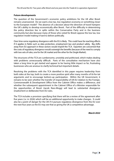#### **Future developments**

The question of the Government's economic policy ambitions for the UK after Brexit remains unanswered. Do we want a low tax, low regulation economy or something closer to the European model? The absence of a decision about the direction of travel hampers the UK's ability to develop economically after Brexit. Part of the difficulty in determining the policy direction lies in splits within the Conservative Party and in the business community but also because many of those who voted for Brexit oppose the low tax, low regulation model making it hard to deliver politically.

Over time some regulatory divergence with the EU is likely. This could have far-reaching effects if it applies in fields such as data protection, employment law and product safety. Big shifts away from EU approach in these sectors would imperil the TCA. Exporters are concerned that the costs of regulatory divergence would outweigh the benefits (because of the need to comply with two sets of rules, one for the UK market and the other for the Single Market).

The structures of the TCA are cumbersome, unwieldy and politicised, which makes dealing with problems unnecessarily difficult. Parts of the consultative mechanism have also taken a long time to get started and appear to be having little impact so far, frustrating businesses who are anxious to clarify technical but important details.

Resolving the problems with the TCA identified in this paper requires leadership from both sides at the top, both to create a more positive spirit after many months of tit-for-tat arguments and to encourage bottom-up participation. Within the UK Government, it remains to be seen whether the transfer of responsibility of UK-EU relation to the Foreign, Commonwealth & Development Office from the Cabinet Office makes a difference, and whether the subsequent appointment in the Cabinet Office of a Minister responsible for the opportunities of Brexit (Jacob Rees-Mogg) will lead to substantial divergence (inadvertent or deliberate) from EU rules.

The TCA includes a provision specifying that there will be a review of the agreement after five years (*i.e.* in 2026) which will be an additional opportunity to make changes. It could also be a point of danger for the UK if it pursues regulatory divergence from the EU over the next four years as the EU may see that as giving the UK a competitive advantage.

*March 2022*